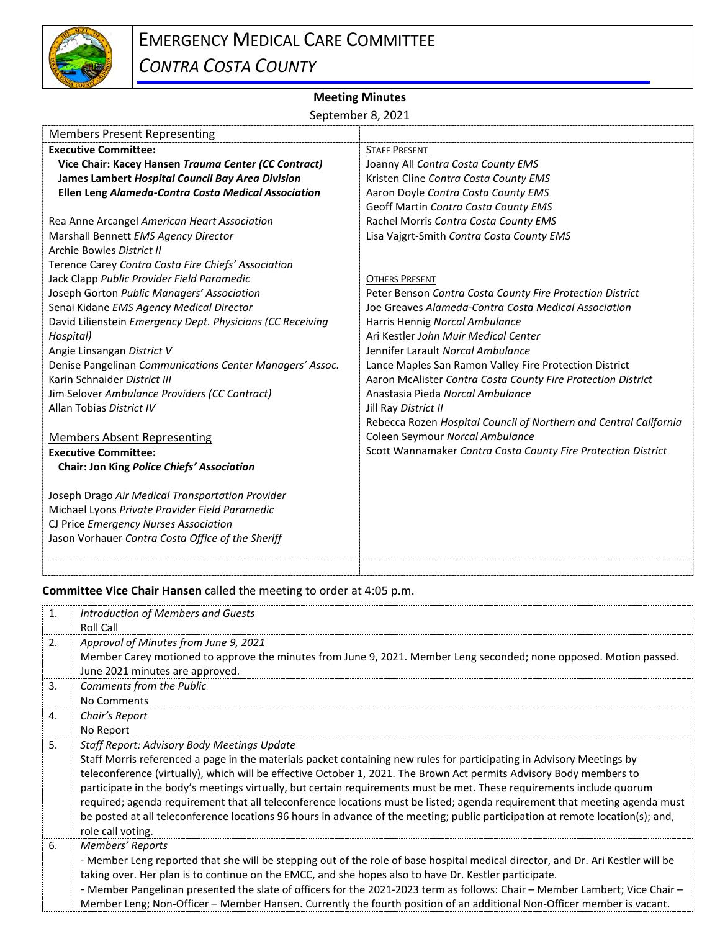

## **Meeting Minutes**

September 8, 2021

| <b>Members Present Representing</b>                        |                                                                   |
|------------------------------------------------------------|-------------------------------------------------------------------|
| <b>Executive Committee:</b>                                | <b>STAFF PRESENT</b>                                              |
| Vice Chair: Kacey Hansen Trauma Center (CC Contract)       | Joanny All Contra Costa County EMS                                |
| James Lambert Hospital Council Bay Area Division           | Kristen Cline Contra Costa County EMS                             |
| Ellen Leng Alameda-Contra Costa Medical Association        | Aaron Doyle Contra Costa County EMS                               |
|                                                            | Geoff Martin Contra Costa County EMS                              |
| Rea Anne Arcangel American Heart Association               | Rachel Morris Contra Costa County EMS                             |
| Marshall Bennett EMS Agency Director                       | Lisa Vajgrt-Smith Contra Costa County EMS                         |
| Archie Bowles District II                                  |                                                                   |
| Terence Carey Contra Costa Fire Chiefs' Association        |                                                                   |
| Jack Clapp Public Provider Field Paramedic                 | <b>OTHERS PRESENT</b>                                             |
| Joseph Gorton Public Managers' Association                 | Peter Benson Contra Costa County Fire Protection District         |
| Senai Kidane EMS Agency Medical Director                   | Joe Greaves Alameda-Contra Costa Medical Association              |
| David Lilienstein Emergency Dept. Physicians (CC Receiving | Harris Hennig Norcal Ambulance                                    |
| Hospital)                                                  | Ari Kestler John Muir Medical Center                              |
| Angie Linsangan District V                                 | Jennifer Larault Norcal Ambulance                                 |
| Denise Pangelinan Communications Center Managers' Assoc.   | Lance Maples San Ramon Valley Fire Protection District            |
| Karin Schnaider District III                               | Aaron McAlister Contra Costa County Fire Protection District      |
| Jim Selover Ambulance Providers (CC Contract)              | Anastasia Pieda Norcal Ambulance                                  |
| Allan Tobias District IV                                   | Jill Ray District II                                              |
|                                                            | Rebecca Rozen Hospital Council of Northern and Central California |
| <b>Members Absent Representing</b>                         | Coleen Seymour Norcal Ambulance                                   |
| <b>Executive Committee:</b>                                | Scott Wannamaker Contra Costa County Fire Protection District     |
| Chair: Jon King Police Chiefs' Association                 |                                                                   |
| Joseph Drago Air Medical Transportation Provider           |                                                                   |
| Michael Lyons Private Provider Field Paramedic             |                                                                   |
| CJ Price Emergency Nurses Association                      |                                                                   |
| Jason Vorhauer Contra Costa Office of the Sheriff          |                                                                   |
|                                                            |                                                                   |
|                                                            |                                                                   |

## **Committee Vice Chair Hansen** called the meeting to order at 4:05 p.m.

| 1. | Introduction of Members and Guests                                                                                              |
|----|---------------------------------------------------------------------------------------------------------------------------------|
|    | Roll Call                                                                                                                       |
| 2. | Approval of Minutes from June 9, 2021                                                                                           |
|    | Member Carey motioned to approve the minutes from June 9, 2021. Member Leng seconded; none opposed. Motion passed.              |
|    | June 2021 minutes are approved.                                                                                                 |
| 3. | Comments from the Public                                                                                                        |
|    | No Comments                                                                                                                     |
| 4. | Chair's Report                                                                                                                  |
|    | No Report                                                                                                                       |
| 5. | <b>Staff Report: Advisory Body Meetings Update</b>                                                                              |
|    | Staff Morris referenced a page in the materials packet containing new rules for participating in Advisory Meetings by           |
|    | teleconference (virtually), which will be effective October 1, 2021. The Brown Act permits Advisory Body members to             |
|    | participate in the body's meetings virtually, but certain requirements must be met. These requirements include quorum           |
|    | required; agenda requirement that all teleconference locations must be listed; agenda requirement that meeting agenda must      |
|    | be posted at all teleconference locations 96 hours in advance of the meeting; public participation at remote location(s); and,  |
|    | role call voting.                                                                                                               |
| 6. | Members' Reports                                                                                                                |
|    | - Member Leng reported that she will be stepping out of the role of base hospital medical director, and Dr. Ari Kestler will be |
|    | taking over. Her plan is to continue on the EMCC, and she hopes also to have Dr. Kestler participate.                           |
|    | - Member Pangelinan presented the slate of officers for the 2021-2023 term as follows: Chair - Member Lambert; Vice Chair -     |
|    | Member Leng; Non-Officer - Member Hansen. Currently the fourth position of an additional Non-Officer member is vacant.          |